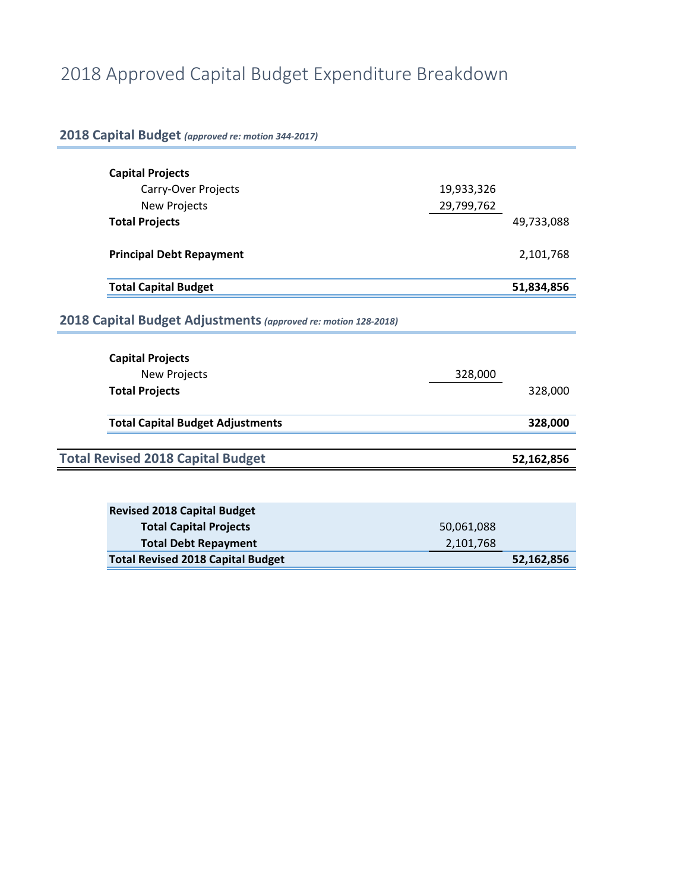# 2018 Approved Capital Budget Expenditure Breakdown

| 2018 Capital Budget (approved re: motion 344-2017)             |            |            |  |  |  |  |
|----------------------------------------------------------------|------------|------------|--|--|--|--|
| <b>Capital Projects</b>                                        |            |            |  |  |  |  |
|                                                                |            |            |  |  |  |  |
| Carry-Over Projects                                            | 19,933,326 |            |  |  |  |  |
| <b>New Projects</b>                                            | 29,799,762 |            |  |  |  |  |
| <b>Total Projects</b>                                          |            | 49,733,088 |  |  |  |  |
| <b>Principal Debt Repayment</b>                                |            | 2,101,768  |  |  |  |  |
| <b>Total Capital Budget</b>                                    |            | 51,834,856 |  |  |  |  |
| 2018 Capital Budget Adjustments (approved re: motion 128-2018) |            |            |  |  |  |  |
| <b>Capital Projects</b>                                        |            |            |  |  |  |  |
| <b>New Projects</b>                                            | 328,000    |            |  |  |  |  |
| <b>Total Projects</b>                                          |            | 328,000    |  |  |  |  |
| <b>Total Capital Budget Adjustments</b>                        |            | 328,000    |  |  |  |  |
|                                                                |            |            |  |  |  |  |
| <b>Total Revised 2018 Capital Budget</b>                       |            | 52,162,856 |  |  |  |  |
|                                                                |            |            |  |  |  |  |
|                                                                |            |            |  |  |  |  |
| <b>Revised 2018 Capital Budget</b>                             |            |            |  |  |  |  |
| <b>Total Capital Projects</b>                                  | 50,061,088 |            |  |  |  |  |
| <b>Total Debt Repayment</b>                                    | 2,101,768  |            |  |  |  |  |
| <b>Total Revised 2018 Capital Budget</b>                       |            | 52,162,856 |  |  |  |  |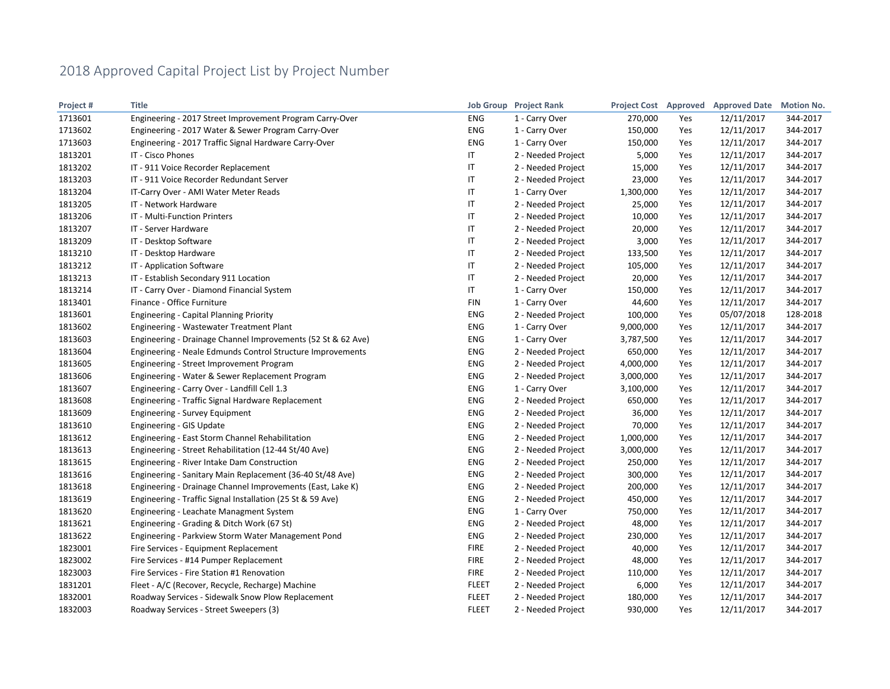| Project# | <b>Title</b>                                                 |              | <b>Job Group</b> Project Rank | <b>Project Cost Approved</b> |     | <b>Approved Date</b> | <b>Motion No.</b> |
|----------|--------------------------------------------------------------|--------------|-------------------------------|------------------------------|-----|----------------------|-------------------|
| 1713601  | Engineering - 2017 Street Improvement Program Carry-Over     | ENG          | 1 - Carry Over                | 270,000                      | Yes | 12/11/2017           | 344-2017          |
| 1713602  | Engineering - 2017 Water & Sewer Program Carry-Over          | <b>ENG</b>   | 1 - Carry Over                | 150,000                      | Yes | 12/11/2017           | 344-2017          |
| 1713603  | Engineering - 2017 Traffic Signal Hardware Carry-Over        | <b>ENG</b>   | 1 - Carry Over                | 150,000                      | Yes | 12/11/2017           | 344-2017          |
| 1813201  | IT - Cisco Phones                                            | IT           | 2 - Needed Project            | 5,000                        | Yes | 12/11/2017           | 344-2017          |
| 1813202  | IT - 911 Voice Recorder Replacement                          | IT           | 2 - Needed Project            | 15,000                       | Yes | 12/11/2017           | 344-2017          |
| 1813203  | IT - 911 Voice Recorder Redundant Server                     | IT           | 2 - Needed Project            | 23,000                       | Yes | 12/11/2017           | 344-2017          |
| 1813204  | IT-Carry Over - AMI Water Meter Reads                        | IT           | 1 - Carry Over                | 1,300,000                    | Yes | 12/11/2017           | 344-2017          |
| 1813205  | IT - Network Hardware                                        | IT           | 2 - Needed Project            | 25,000                       | Yes | 12/11/2017           | 344-2017          |
| 1813206  | IT - Multi-Function Printers                                 | IT           | 2 - Needed Project            | 10,000                       | Yes | 12/11/2017           | 344-2017          |
| 1813207  | IT - Server Hardware                                         | IT           | 2 - Needed Project            | 20,000                       | Yes | 12/11/2017           | 344-2017          |
| 1813209  | IT - Desktop Software                                        | IT           | 2 - Needed Project            | 3,000                        | Yes | 12/11/2017           | 344-2017          |
| 1813210  | IT - Desktop Hardware                                        | IT           | 2 - Needed Project            | 133,500                      | Yes | 12/11/2017           | 344-2017          |
| 1813212  | IT - Application Software                                    | IT           | 2 - Needed Project            | 105,000                      | Yes | 12/11/2017           | 344-2017          |
| 1813213  | IT - Establish Secondary 911 Location                        | IT           | 2 - Needed Project            | 20,000                       | Yes | 12/11/2017           | 344-2017          |
| 1813214  | IT - Carry Over - Diamond Financial System                   | IT           | 1 - Carry Over                | 150,000                      | Yes | 12/11/2017           | 344-2017          |
| 1813401  | Finance - Office Furniture                                   | FIN          | 1 - Carry Over                | 44,600                       | Yes | 12/11/2017           | 344-2017          |
| 1813601  | <b>Engineering - Capital Planning Priority</b>               | <b>ENG</b>   | 2 - Needed Project            | 100,000                      | Yes | 05/07/2018           | 128-2018          |
| 1813602  | Engineering - Wastewater Treatment Plant                     | ENG          | 1 - Carry Over                | 9,000,000                    | Yes | 12/11/2017           | 344-2017          |
| 1813603  | Engineering - Drainage Channel Improvements (52 St & 62 Ave) | <b>ENG</b>   | 1 - Carry Over                | 3,787,500                    | Yes | 12/11/2017           | 344-2017          |
| 1813604  | Engineering - Neale Edmunds Control Structure Improvements   | ENG          | 2 - Needed Project            | 650,000                      | Yes | 12/11/2017           | 344-2017          |
| 1813605  | Engineering - Street Improvement Program                     | ENG          | 2 - Needed Project            | 4,000,000                    | Yes | 12/11/2017           | 344-2017          |
| 1813606  | Engineering - Water & Sewer Replacement Program              | ENG          | 2 - Needed Project            | 3,000,000                    | Yes | 12/11/2017           | 344-2017          |
| 1813607  | Engineering - Carry Over - Landfill Cell 1.3                 | ENG          | 1 - Carry Over                | 3,100,000                    | Yes | 12/11/2017           | 344-2017          |
| 1813608  | Engineering - Traffic Signal Hardware Replacement            | ENG          | 2 - Needed Project            | 650,000                      | Yes | 12/11/2017           | 344-2017          |
| 1813609  | <b>Engineering - Survey Equipment</b>                        | ENG          | 2 - Needed Project            | 36,000                       | Yes | 12/11/2017           | 344-2017          |
| 1813610  | Engineering - GIS Update                                     | ENG          | 2 - Needed Project            | 70,000                       | Yes | 12/11/2017           | 344-2017          |
| 1813612  | Engineering - East Storm Channel Rehabilitation              | ENG          | 2 - Needed Project            | 1,000,000                    | Yes | 12/11/2017           | 344-2017          |
| 1813613  | Engineering - Street Rehabilitation (12-44 St/40 Ave)        | <b>ENG</b>   | 2 - Needed Project            | 3,000,000                    | Yes | 12/11/2017           | 344-2017          |
| 1813615  | Engineering - River Intake Dam Construction                  | <b>ENG</b>   | 2 - Needed Project            | 250,000                      | Yes | 12/11/2017           | 344-2017          |
| 1813616  | Engineering - Sanitary Main Replacement (36-40 St/48 Ave)    | ENG          | 2 - Needed Project            | 300,000                      | Yes | 12/11/2017           | 344-2017          |
| 1813618  | Engineering - Drainage Channel Improvements (East, Lake K)   | ENG          | 2 - Needed Project            | 200,000                      | Yes | 12/11/2017           | 344-2017          |
| 1813619  | Engineering - Traffic Signal Installation (25 St & 59 Ave)   | ENG          | 2 - Needed Project            | 450,000                      | Yes | 12/11/2017           | 344-2017          |
| 1813620  | Engineering - Leachate Managment System                      | <b>ENG</b>   | 1 - Carry Over                | 750,000                      | Yes | 12/11/2017           | 344-2017          |
| 1813621  | Engineering - Grading & Ditch Work (67 St)                   | ENG          | 2 - Needed Project            | 48,000                       | Yes | 12/11/2017           | 344-2017          |
| 1813622  | Engineering - Parkview Storm Water Management Pond           | ENG          | 2 - Needed Project            | 230,000                      | Yes | 12/11/2017           | 344-2017          |
| 1823001  | Fire Services - Equipment Replacement                        | <b>FIRE</b>  | 2 - Needed Project            | 40,000                       | Yes | 12/11/2017           | 344-2017          |
| 1823002  | Fire Services - #14 Pumper Replacement                       | <b>FIRE</b>  | 2 - Needed Project            | 48,000                       | Yes | 12/11/2017           | 344-2017          |
| 1823003  | Fire Services - Fire Station #1 Renovation                   | <b>FIRE</b>  | 2 - Needed Project            | 110,000                      | Yes | 12/11/2017           | 344-2017          |
| 1831201  | Fleet - A/C (Recover, Recycle, Recharge) Machine             | <b>FLEET</b> | 2 - Needed Project            | 6,000                        | Yes | 12/11/2017           | 344-2017          |
| 1832001  | Roadway Services - Sidewalk Snow Plow Replacement            | <b>FLEET</b> | 2 - Needed Project            | 180,000                      | Yes | 12/11/2017           | 344-2017          |
| 1832003  | Roadway Services - Street Sweepers (3)                       | <b>FLEET</b> | 2 - Needed Project            | 930,000                      | Yes | 12/11/2017           | 344-2017          |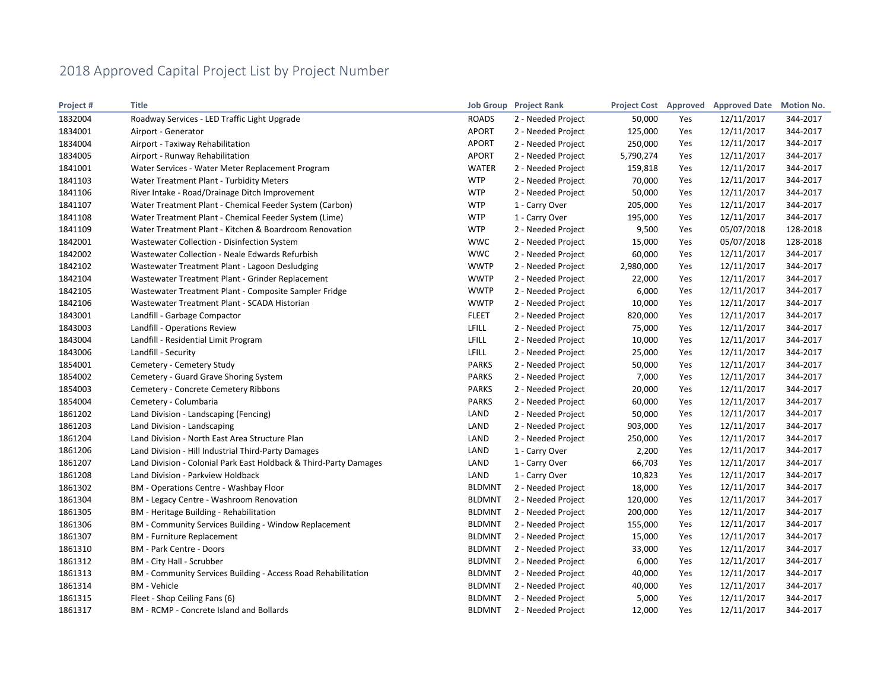| Project# | <b>Title</b>                                                      |               | <b>Job Group</b> Project Rank |           |     | Project Cost Approved Approved Date | <b>Motion No.</b> |
|----------|-------------------------------------------------------------------|---------------|-------------------------------|-----------|-----|-------------------------------------|-------------------|
| 1832004  | Roadway Services - LED Traffic Light Upgrade                      | <b>ROADS</b>  | 2 - Needed Project            | 50,000    | Yes | 12/11/2017                          | 344-2017          |
| 1834001  | Airport - Generator                                               | <b>APORT</b>  | 2 - Needed Project            | 125,000   | Yes | 12/11/2017                          | 344-2017          |
| 1834004  | Airport - Taxiway Rehabilitation                                  | <b>APORT</b>  | 2 - Needed Project            | 250,000   | Yes | 12/11/2017                          | 344-2017          |
| 1834005  | Airport - Runway Rehabilitation                                   | <b>APORT</b>  | 2 - Needed Project            | 5,790,274 | Yes | 12/11/2017                          | 344-2017          |
| 1841001  | Water Services - Water Meter Replacement Program                  | <b>WATER</b>  | 2 - Needed Project            | 159,818   | Yes | 12/11/2017                          | 344-2017          |
| 1841103  | Water Treatment Plant - Turbidity Meters                          | <b>WTP</b>    | 2 - Needed Project            | 70,000    | Yes | 12/11/2017                          | 344-2017          |
| 1841106  | River Intake - Road/Drainage Ditch Improvement                    | <b>WTP</b>    | 2 - Needed Project            | 50,000    | Yes | 12/11/2017                          | 344-2017          |
| 1841107  | Water Treatment Plant - Chemical Feeder System (Carbon)           | <b>WTP</b>    | 1 - Carry Over                | 205,000   | Yes | 12/11/2017                          | 344-2017          |
| 1841108  | Water Treatment Plant - Chemical Feeder System (Lime)             | <b>WTP</b>    | 1 - Carry Over                | 195,000   | Yes | 12/11/2017                          | 344-2017          |
| 1841109  | Water Treatment Plant - Kitchen & Boardroom Renovation            | <b>WTP</b>    | 2 - Needed Project            | 9,500     | Yes | 05/07/2018                          | 128-2018          |
| 1842001  | Wastewater Collection - Disinfection System                       | <b>WWC</b>    | 2 - Needed Project            | 15,000    | Yes | 05/07/2018                          | 128-2018          |
| 1842002  | Wastewater Collection - Neale Edwards Refurbish                   | <b>WWC</b>    | 2 - Needed Project            | 60,000    | Yes | 12/11/2017                          | 344-2017          |
| 1842102  | Wastewater Treatment Plant - Lagoon Desludging                    | <b>WWTP</b>   | 2 - Needed Project            | 2,980,000 | Yes | 12/11/2017                          | 344-2017          |
| 1842104  | Wastewater Treatment Plant - Grinder Replacement                  | <b>WWTP</b>   | 2 - Needed Project            | 22,000    | Yes | 12/11/2017                          | 344-2017          |
| 1842105  | Wastewater Treatment Plant - Composite Sampler Fridge             | <b>WWTP</b>   | 2 - Needed Project            | 6,000     | Yes | 12/11/2017                          | 344-2017          |
| 1842106  | Wastewater Treatment Plant - SCADA Historian                      | <b>WWTP</b>   | 2 - Needed Project            | 10,000    | Yes | 12/11/2017                          | 344-2017          |
| 1843001  | Landfill - Garbage Compactor                                      | <b>FLEET</b>  | 2 - Needed Project            | 820,000   | Yes | 12/11/2017                          | 344-2017          |
| 1843003  | Landfill - Operations Review                                      | <b>LFILL</b>  | 2 - Needed Project            | 75,000    | Yes | 12/11/2017                          | 344-2017          |
| 1843004  | Landfill - Residential Limit Program                              | <b>LFILL</b>  | 2 - Needed Project            | 10,000    | Yes | 12/11/2017                          | 344-2017          |
| 1843006  | Landfill - Security                                               | LFILL         | 2 - Needed Project            | 25,000    | Yes | 12/11/2017                          | 344-2017          |
| 1854001  | Cemetery - Cemetery Study                                         | <b>PARKS</b>  | 2 - Needed Project            | 50,000    | Yes | 12/11/2017                          | 344-2017          |
| 1854002  | Cemetery - Guard Grave Shoring System                             | <b>PARKS</b>  | 2 - Needed Project            | 7,000     | Yes | 12/11/2017                          | 344-2017          |
| 1854003  | Cemetery - Concrete Cemetery Ribbons                              | <b>PARKS</b>  | 2 - Needed Project            | 20,000    | Yes | 12/11/2017                          | 344-2017          |
| 1854004  | Cemetery - Columbaria                                             | <b>PARKS</b>  | 2 - Needed Project            | 60,000    | Yes | 12/11/2017                          | 344-2017          |
| 1861202  | Land Division - Landscaping (Fencing)                             | LAND          | 2 - Needed Project            | 50,000    | Yes | 12/11/2017                          | 344-2017          |
| 1861203  | Land Division - Landscaping                                       | LAND          | 2 - Needed Project            | 903,000   | Yes | 12/11/2017                          | 344-2017          |
| 1861204  | Land Division - North East Area Structure Plan                    | LAND          | 2 - Needed Project            | 250,000   | Yes | 12/11/2017                          | 344-2017          |
| 1861206  | Land Division - Hill Industrial Third-Party Damages               | LAND          | 1 - Carry Over                | 2,200     | Yes | 12/11/2017                          | 344-2017          |
| 1861207  | Land Division - Colonial Park East Holdback & Third-Party Damages | LAND          | 1 - Carry Over                | 66,703    | Yes | 12/11/2017                          | 344-2017          |
| 1861208  | Land Division - Parkview Holdback                                 | LAND          | 1 - Carry Over                | 10,823    | Yes | 12/11/2017                          | 344-2017          |
| 1861302  | <b>BM</b> - Operations Centre - Washbay Floor                     | <b>BLDMNT</b> | 2 - Needed Project            | 18,000    | Yes | 12/11/2017                          | 344-2017          |
| 1861304  | BM - Legacy Centre - Washroom Renovation                          | <b>BLDMNT</b> | 2 - Needed Project            | 120,000   | Yes | 12/11/2017                          | 344-2017          |
| 1861305  | BM - Heritage Building - Rehabilitation                           | <b>BLDMNT</b> | 2 - Needed Project            | 200,000   | Yes | 12/11/2017                          | 344-2017          |
| 1861306  | <b>BM</b> - Community Services Building - Window Replacement      | <b>BLDMNT</b> | 2 - Needed Project            | 155,000   | Yes | 12/11/2017                          | 344-2017          |
| 1861307  | <b>BM</b> - Furniture Replacement                                 | <b>BLDMNT</b> | 2 - Needed Project            | 15,000    | Yes | 12/11/2017                          | 344-2017          |
| 1861310  | <b>BM</b> - Park Centre - Doors                                   | <b>BLDMNT</b> | 2 - Needed Project            | 33,000    | Yes | 12/11/2017                          | 344-2017          |
| 1861312  | BM - City Hall - Scrubber                                         | <b>BLDMNT</b> | 2 - Needed Project            | 6,000     | Yes | 12/11/2017                          | 344-2017          |
| 1861313  | BM - Community Services Building - Access Road Rehabilitation     | <b>BLDMNT</b> | 2 - Needed Project            | 40,000    | Yes | 12/11/2017                          | 344-2017          |
| 1861314  | <b>BM - Vehicle</b>                                               | <b>BLDMNT</b> | 2 - Needed Project            | 40,000    | Yes | 12/11/2017                          | 344-2017          |
| 1861315  | Fleet - Shop Ceiling Fans (6)                                     | <b>BLDMNT</b> | 2 - Needed Project            | 5,000     | Yes | 12/11/2017                          | 344-2017          |
| 1861317  | BM - RCMP - Concrete Island and Bollards                          | <b>BLDMNT</b> | 2 - Needed Project            | 12,000    | Yes | 12/11/2017                          | 344-2017          |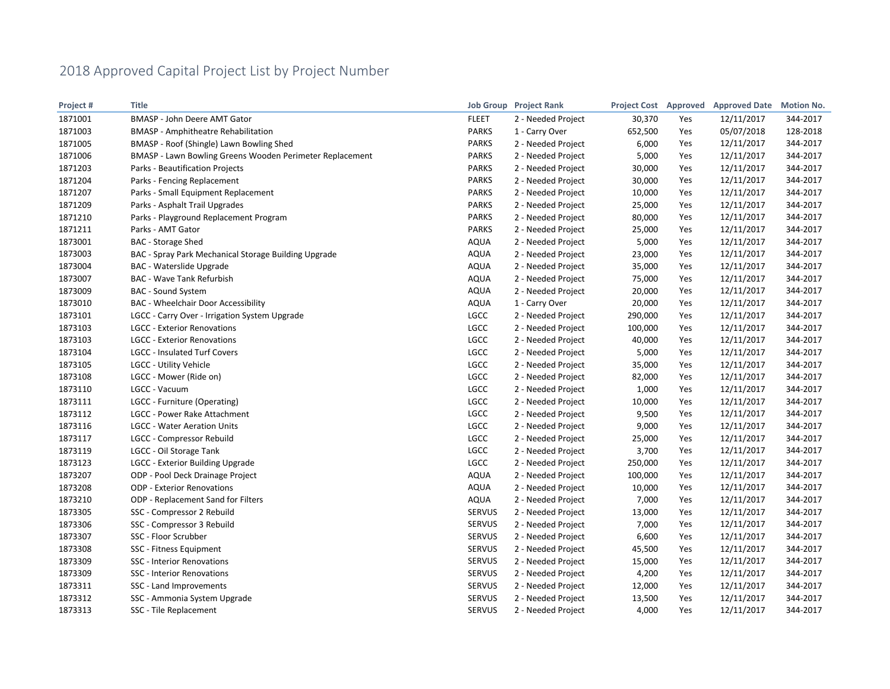| Project# | <b>Title</b>                                             |               | <b>Job Group</b> Project Rank |         |     | Project Cost Approved Approved Date | <b>Motion No.</b> |
|----------|----------------------------------------------------------|---------------|-------------------------------|---------|-----|-------------------------------------|-------------------|
| 1871001  | BMASP - John Deere AMT Gator                             | <b>FLEET</b>  | 2 - Needed Project            | 30,370  | Yes | 12/11/2017                          | 344-2017          |
| 1871003  | <b>BMASP</b> - Amphitheatre Rehabilitation               | <b>PARKS</b>  | 1 - Carry Over                | 652,500 | Yes | 05/07/2018                          | 128-2018          |
| 1871005  | BMASP - Roof (Shingle) Lawn Bowling Shed                 | <b>PARKS</b>  | 2 - Needed Project            | 6,000   | Yes | 12/11/2017                          | 344-2017          |
| 1871006  | BMASP - Lawn Bowling Greens Wooden Perimeter Replacement | <b>PARKS</b>  | 2 - Needed Project            | 5,000   | Yes | 12/11/2017                          | 344-2017          |
| 1871203  | Parks - Beautification Projects                          | <b>PARKS</b>  | 2 - Needed Project            | 30,000  | Yes | 12/11/2017                          | 344-2017          |
| 1871204  | Parks - Fencing Replacement                              | <b>PARKS</b>  | 2 - Needed Project            | 30,000  | Yes | 12/11/2017                          | 344-2017          |
| 1871207  | Parks - Small Equipment Replacement                      | <b>PARKS</b>  | 2 - Needed Project            | 10,000  | Yes | 12/11/2017                          | 344-2017          |
| 1871209  | Parks - Asphalt Trail Upgrades                           | <b>PARKS</b>  | 2 - Needed Project            | 25,000  | Yes | 12/11/2017                          | 344-2017          |
| 1871210  | Parks - Playground Replacement Program                   | <b>PARKS</b>  | 2 - Needed Project            | 80,000  | Yes | 12/11/2017                          | 344-2017          |
| 1871211  | Parks - AMT Gator                                        | <b>PARKS</b>  | 2 - Needed Project            | 25,000  | Yes | 12/11/2017                          | 344-2017          |
| 1873001  | <b>BAC</b> - Storage Shed                                | <b>AQUA</b>   | 2 - Needed Project            | 5,000   | Yes | 12/11/2017                          | 344-2017          |
| 1873003  | BAC - Spray Park Mechanical Storage Building Upgrade     | <b>AQUA</b>   | 2 - Needed Project            | 23,000  | Yes | 12/11/2017                          | 344-2017          |
| 1873004  | <b>BAC - Waterslide Upgrade</b>                          | <b>AQUA</b>   | 2 - Needed Project            | 35,000  | Yes | 12/11/2017                          | 344-2017          |
| 1873007  | <b>BAC - Wave Tank Refurbish</b>                         | <b>AQUA</b>   | 2 - Needed Project            | 75,000  | Yes | 12/11/2017                          | 344-2017          |
| 1873009  | <b>BAC - Sound System</b>                                | <b>AQUA</b>   | 2 - Needed Project            | 20,000  | Yes | 12/11/2017                          | 344-2017          |
| 1873010  | <b>BAC</b> - Wheelchair Door Accessibility               | <b>AQUA</b>   | 1 - Carry Over                | 20,000  | Yes | 12/11/2017                          | 344-2017          |
| 1873101  | LGCC - Carry Over - Irrigation System Upgrade            | <b>LGCC</b>   | 2 - Needed Project            | 290,000 | Yes | 12/11/2017                          | 344-2017          |
| 1873103  | <b>LGCC - Exterior Renovations</b>                       | <b>LGCC</b>   | 2 - Needed Project            | 100,000 | Yes | 12/11/2017                          | 344-2017          |
| 1873103  | <b>LGCC - Exterior Renovations</b>                       | <b>LGCC</b>   | 2 - Needed Project            | 40,000  | Yes | 12/11/2017                          | 344-2017          |
| 1873104  | LGCC - Insulated Turf Covers                             | LGCC          | 2 - Needed Project            | 5,000   | Yes | 12/11/2017                          | 344-2017          |
| 1873105  | LGCC - Utility Vehicle                                   | LGCC          | 2 - Needed Project            | 35,000  | Yes | 12/11/2017                          | 344-2017          |
| 1873108  | LGCC - Mower (Ride on)                                   | LGCC          | 2 - Needed Project            | 82,000  | Yes | 12/11/2017                          | 344-2017          |
| 1873110  | LGCC - Vacuum                                            | LGCC          | 2 - Needed Project            | 1,000   | Yes | 12/11/2017                          | 344-2017          |
| 1873111  | LGCC - Furniture (Operating)                             | <b>LGCC</b>   | 2 - Needed Project            | 10,000  | Yes | 12/11/2017                          | 344-2017          |
| 1873112  | LGCC - Power Rake Attachment                             | LGCC          | 2 - Needed Project            | 9,500   | Yes | 12/11/2017                          | 344-2017          |
| 1873116  | <b>LGCC - Water Aeration Units</b>                       | <b>LGCC</b>   | 2 - Needed Project            | 9,000   | Yes | 12/11/2017                          | 344-2017          |
| 1873117  | <b>LGCC - Compressor Rebuild</b>                         | <b>LGCC</b>   | 2 - Needed Project            | 25,000  | Yes | 12/11/2017                          | 344-2017          |
| 1873119  | LGCC - Oil Storage Tank                                  | LGCC          | 2 - Needed Project            | 3,700   | Yes | 12/11/2017                          | 344-2017          |
| 1873123  | LGCC - Exterior Building Upgrade                         | LGCC          | 2 - Needed Project            | 250,000 | Yes | 12/11/2017                          | 344-2017          |
| 1873207  | ODP - Pool Deck Drainage Project                         | <b>AQUA</b>   | 2 - Needed Project            | 100,000 | Yes | 12/11/2017                          | 344-2017          |
| 1873208  | <b>ODP - Exterior Renovations</b>                        | <b>AQUA</b>   | 2 - Needed Project            | 10,000  | Yes | 12/11/2017                          | 344-2017          |
| 1873210  | ODP - Replacement Sand for Filters                       | <b>AQUA</b>   | 2 - Needed Project            | 7,000   | Yes | 12/11/2017                          | 344-2017          |
| 1873305  | SSC - Compressor 2 Rebuild                               | <b>SERVUS</b> | 2 - Needed Project            | 13,000  | Yes | 12/11/2017                          | 344-2017          |
| 1873306  | SSC - Compressor 3 Rebuild                               | SERVUS        | 2 - Needed Project            | 7,000   | Yes | 12/11/2017                          | 344-2017          |
| 1873307  | SSC - Floor Scrubber                                     | <b>SERVUS</b> | 2 - Needed Project            | 6,600   | Yes | 12/11/2017                          | 344-2017          |
| 1873308  | SSC - Fitness Equipment                                  | <b>SERVUS</b> | 2 - Needed Project            | 45,500  | Yes | 12/11/2017                          | 344-2017          |
| 1873309  | SSC - Interior Renovations                               | <b>SERVUS</b> | 2 - Needed Project            | 15,000  | Yes | 12/11/2017                          | 344-2017          |
| 1873309  | SSC - Interior Renovations                               | <b>SERVUS</b> | 2 - Needed Project            | 4,200   | Yes | 12/11/2017                          | 344-2017          |
| 1873311  | SSC - Land Improvements                                  | <b>SERVUS</b> | 2 - Needed Project            | 12,000  | Yes | 12/11/2017                          | 344-2017          |
| 1873312  | SSC - Ammonia System Upgrade                             | <b>SERVUS</b> | 2 - Needed Project            | 13,500  | Yes | 12/11/2017                          | 344-2017          |
| 1873313  | SSC - Tile Replacement                                   | <b>SERVUS</b> | 2 - Needed Project            | 4,000   | Yes | 12/11/2017                          | 344-2017          |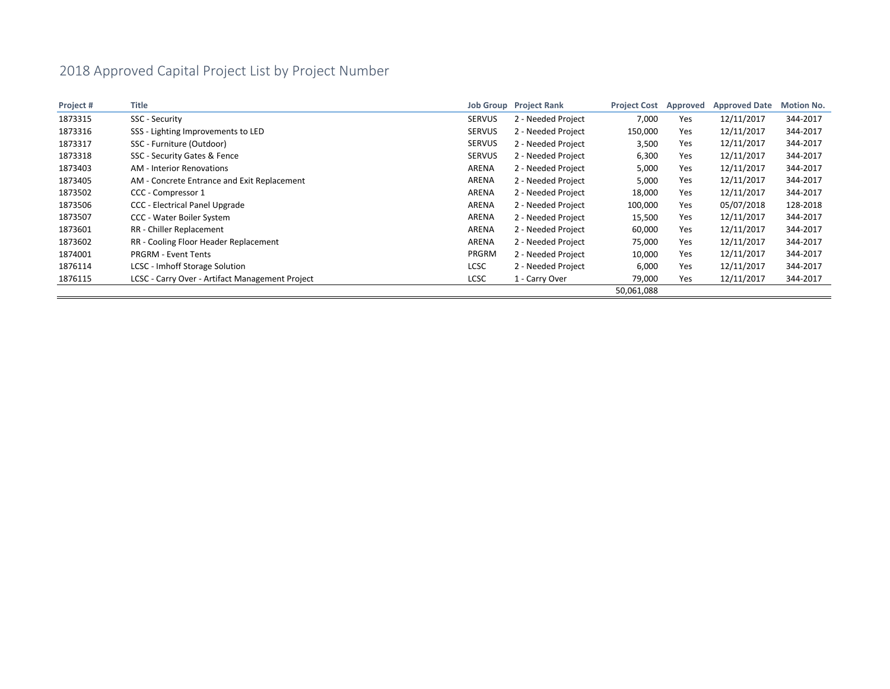| Project# | Title                                           |               | <b>Job Group</b> Project Rank | <b>Project Cost</b> | Approved | <b>Approved Date</b> | <b>Motion No.</b> |
|----------|-------------------------------------------------|---------------|-------------------------------|---------------------|----------|----------------------|-------------------|
| 1873315  | SSC - Security                                  | <b>SERVUS</b> | 2 - Needed Project            | 7,000               | Yes      | 12/11/2017           | 344-2017          |
| 1873316  | SSS - Lighting Improvements to LED              | <b>SERVUS</b> | 2 - Needed Project            | 150,000             | Yes      | 12/11/2017           | 344-2017          |
| 1873317  | SSC - Furniture (Outdoor)                       | <b>SERVUS</b> | 2 - Needed Project            | 3,500               | Yes      | 12/11/2017           | 344-2017          |
| 1873318  | SSC - Security Gates & Fence                    | <b>SERVUS</b> | 2 - Needed Project            | 6,300               | Yes      | 12/11/2017           | 344-2017          |
| 1873403  | <b>AM - Interior Renovations</b>                | ARENA         | 2 - Needed Project            | 5,000               | Yes      | 12/11/2017           | 344-2017          |
| 1873405  | AM - Concrete Entrance and Exit Replacement     | ARENA         | 2 - Needed Project            | 5,000               | Yes      | 12/11/2017           | 344-2017          |
| 1873502  | CCC - Compressor 1                              | ARENA         | 2 - Needed Project            | 18,000              | Yes      | 12/11/2017           | 344-2017          |
| 1873506  | CCC - Electrical Panel Upgrade                  | ARENA         | 2 - Needed Project            | 100,000             | Yes      | 05/07/2018           | 128-2018          |
| 1873507  | CCC - Water Boiler System                       | ARENA         | 2 - Needed Project            | 15,500              | Yes      | 12/11/2017           | 344-2017          |
| 1873601  | RR - Chiller Replacement                        | ARENA         | 2 - Needed Project            | 60,000              | Yes      | 12/11/2017           | 344-2017          |
| 1873602  | RR - Cooling Floor Header Replacement           | ARENA         | 2 - Needed Project            | 75,000              | Yes      | 12/11/2017           | 344-2017          |
| 1874001  | <b>PRGRM - Event Tents</b>                      | PRGRM         | 2 - Needed Project            | 10,000              | Yes      | 12/11/2017           | 344-2017          |
| 1876114  | LCSC - Imhoff Storage Solution                  | <b>LCSC</b>   | 2 - Needed Project            | 6,000               | Yes      | 12/11/2017           | 344-2017          |
| 1876115  | LCSC - Carry Over - Artifact Management Project | <b>LCSC</b>   | 1 - Carry Over                | 79,000              | Yes      | 12/11/2017           | 344-2017          |
|          |                                                 |               |                               | 50,061,088          |          |                      |                   |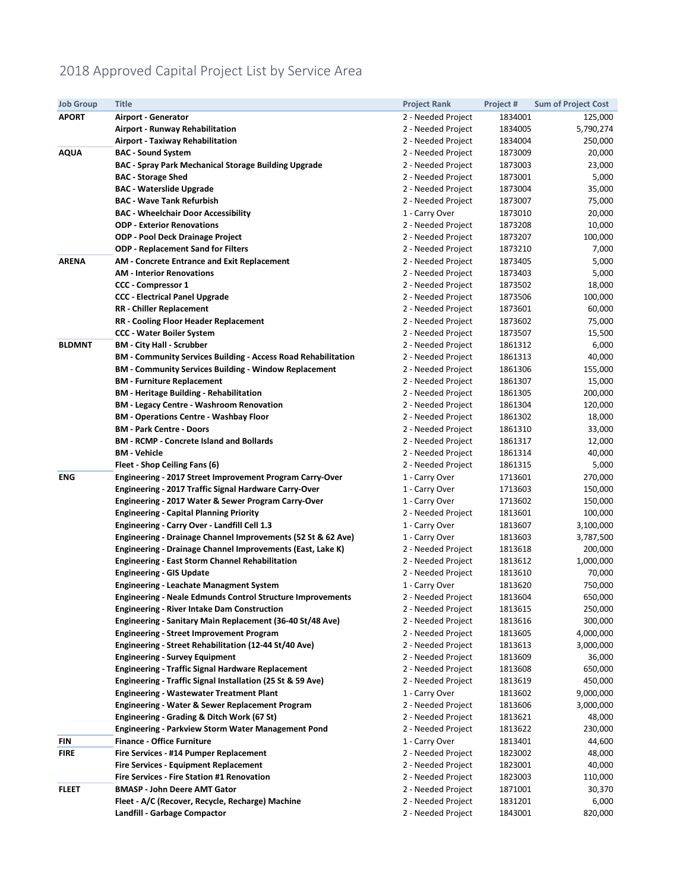### 2018 Approved Capital Project List by Service Area

| <b>Job Group</b> | <b>Title</b>                                                                                             | <b>Project Rank</b>                      | Project #          | <b>Sum of Project Cost</b> |
|------------------|----------------------------------------------------------------------------------------------------------|------------------------------------------|--------------------|----------------------------|
| <b>APORT</b>     | Airport - Generator                                                                                      | 2 - Needed Project                       | 1834001            | 125,000                    |
|                  | <b>Airport - Runway Rehabilitation</b>                                                                   | 2 - Needed Project                       | 1834005            | 5,790,274                  |
|                  | <b>Airport - Taxiway Rehabilitation</b>                                                                  | 2 - Needed Project                       | 1834004            | 250,000                    |
| <b>AQUA</b>      | <b>BAC - Sound System</b>                                                                                | 2 - Needed Project                       | 1873009            | 20,000                     |
|                  | <b>BAC - Spray Park Mechanical Storage Building Upgrade</b>                                              | 2 - Needed Project                       | 1873003            | 23,000                     |
|                  | <b>BAC</b> - Storage Shed                                                                                | 2 - Needed Project                       | 1873001            | 5,000                      |
|                  | <b>BAC - Waterslide Upgrade</b>                                                                          | 2 - Needed Project                       | 1873004            | 35,000                     |
|                  | <b>BAC - Wave Tank Refurbish</b>                                                                         | 2 - Needed Project                       | 1873007            | 75,000                     |
|                  | <b>BAC - Wheelchair Door Accessibility</b>                                                               | 1 - Carry Over                           | 1873010            | 20,000                     |
|                  | <b>ODP - Exterior Renovations</b>                                                                        | 2 - Needed Project                       | 1873208            | 10,000                     |
|                  | <b>ODP - Pool Deck Drainage Project</b>                                                                  | 2 - Needed Project                       | 1873207            | 100,000                    |
|                  | <b>ODP - Replacement Sand for Filters</b>                                                                | 2 - Needed Project                       | 1873210            | 7,000                      |
| <b>ARENA</b>     | <b>AM - Concrete Entrance and Exit Replacement</b>                                                       | 2 - Needed Project                       | 1873405            | 5,000                      |
|                  | <b>AM - Interior Renovations</b>                                                                         | 2 - Needed Project                       | 1873403            | 5,000                      |
|                  | <b>CCC - Compressor 1</b>                                                                                | 2 - Needed Project                       | 1873502            | 18,000                     |
|                  | <b>CCC - Electrical Panel Upgrade</b>                                                                    | 2 - Needed Project                       | 1873506            | 100,000                    |
|                  | <b>RR</b> - Chiller Replacement                                                                          | 2 - Needed Project                       | 1873601            | 60,000                     |
|                  | <b>RR</b> - Cooling Floor Header Replacement                                                             | 2 - Needed Project                       | 1873602            | 75,000                     |
|                  | <b>CCC - Water Boiler System</b>                                                                         | 2 - Needed Project                       | 1873507            | 15,500                     |
| <b>BLDMNT</b>    | <b>BM - City Hall - Scrubber</b>                                                                         | 2 - Needed Project                       | 1861312            | 6,000                      |
|                  | <b>BM - Community Services Building - Access Road Rehabilitation</b>                                     | 2 - Needed Project                       | 1861313            | 40,000                     |
|                  | <b>BM - Community Services Building - Window Replacement</b>                                             | 2 - Needed Project                       | 1861306            | 155,000                    |
|                  | <b>BM</b> - Furniture Replacement                                                                        | 2 - Needed Project                       | 1861307            | 15,000                     |
|                  | <b>BM</b> - Heritage Building - Rehabilitation                                                           | 2 - Needed Project                       | 1861305            | 200,000                    |
|                  | <b>BM - Legacy Centre - Washroom Renovation</b>                                                          | 2 - Needed Project                       | 1861304            | 120,000                    |
|                  | <b>BM - Operations Centre - Washbay Floor</b>                                                            | 2 - Needed Project                       | 1861302            | 18,000                     |
|                  | <b>BM</b> - Park Centre - Doors                                                                          | 2 - Needed Project                       | 1861310            | 33,000                     |
|                  | <b>BM - RCMP - Concrete Island and Bollards</b>                                                          | 2 - Needed Project                       | 1861317            | 12,000                     |
|                  | <b>BM - Vehicle</b>                                                                                      | 2 - Needed Project                       | 1861314            | 40,000                     |
|                  | Fleet - Shop Ceiling Fans (6)                                                                            | 2 - Needed Project                       | 1861315            | 5,000                      |
| <b>ENG</b>       | Engineering - 2017 Street Improvement Program Carry-Over                                                 | 1 - Carry Over                           | 1713601            | 270,000                    |
|                  | Engineering - 2017 Traffic Signal Hardware Carry-Over                                                    | 1 - Carry Over                           | 1713603            | 150,000                    |
|                  | Engineering - 2017 Water & Sewer Program Carry-Over                                                      | 1 - Carry Over                           | 1713602            | 150,000                    |
|                  | <b>Engineering - Capital Planning Priority</b>                                                           | 2 - Needed Project                       | 1813601            | 100,000                    |
|                  | Engineering - Carry Over - Landfill Cell 1.3                                                             | 1 - Carry Over                           | 1813607            | 3,100,000                  |
|                  | Engineering - Drainage Channel Improvements (52 St & 62 Ave)                                             | 1 - Carry Over                           | 1813603            | 3,787,500                  |
|                  | Engineering - Drainage Channel Improvements (East, Lake K)                                               | 2 - Needed Project                       | 1813618            | 200,000                    |
|                  | <b>Engineering - East Storm Channel Rehabilitation</b>                                                   | 2 - Needed Project                       | 1813612            | 1,000,000                  |
|                  | <b>Engineering - GIS Update</b>                                                                          | 2 - Needed Project                       | 1813610            | 70,000                     |
|                  | <b>Engineering - Leachate Managment System</b>                                                           | 1 - Carry Over                           | 1813620            | 750,000                    |
|                  | <b>Engineering - Neale Edmunds Control Structure Improvements</b>                                        | 2 - Needed Project                       | 1813604            | 650,000                    |
|                  | <b>Engineering - River Intake Dam Construction</b>                                                       | 2 - Needed Project                       | 1813615            | 250,000                    |
|                  | Engineering - Sanitary Main Replacement (36-40 St/48 Ave)                                                | 2 - Needed Project                       | 1813616            | 300,000                    |
|                  | <b>Engineering - Street Improvement Program</b><br>Engineering - Street Rehabilitation (12-44 St/40 Ave) | 2 - Needed Project<br>2 - Needed Project | 1813605            | 4,000,000<br>3,000,000     |
|                  | <b>Engineering - Survey Equipment</b>                                                                    | 2 - Needed Project                       | 1813613<br>1813609 | 36,000                     |
|                  | <b>Engineering - Traffic Signal Hardware Replacement</b>                                                 | 2 - Needed Project                       | 1813608            | 650,000                    |
|                  | Engineering - Traffic Signal Installation (25 St & 59 Ave)                                               | 2 - Needed Project                       | 1813619            | 450,000                    |
|                  | <b>Engineering - Wastewater Treatment Plant</b>                                                          | 1 - Carry Over                           | 1813602            | 9,000,000                  |
|                  | Engineering - Water & Sewer Replacement Program                                                          | 2 - Needed Project                       | 1813606            | 3,000,000                  |
|                  | Engineering - Grading & Ditch Work (67 St)                                                               | 2 - Needed Project                       | 1813621            | 48,000                     |
|                  | <b>Engineering - Parkview Storm Water Management Pond</b>                                                | 2 - Needed Project                       | 1813622            | 230,000                    |
| FIN              | <b>Finance - Office Furniture</b>                                                                        | 1 - Carry Over                           | 1813401            | 44,600                     |
| <b>FIRE</b>      | Fire Services - #14 Pumper Replacement                                                                   | 2 - Needed Project                       | 1823002            | 48,000                     |
|                  | Fire Services - Equipment Replacement                                                                    | 2 - Needed Project                       | 1823001            | 40,000                     |
|                  | <b>Fire Services - Fire Station #1 Renovation</b>                                                        | 2 - Needed Project                       | 1823003            | 110,000                    |
| FLEET            | <b>BMASP - John Deere AMT Gator</b>                                                                      | 2 - Needed Project                       | 1871001            | 30,370                     |
|                  | Fleet - A/C (Recover, Recycle, Recharge) Machine                                                         | 2 - Needed Project                       | 1831201            | 6,000                      |
|                  | Landfill - Garbage Compactor                                                                             | 2 - Needed Project                       | 1843001            | 820,000                    |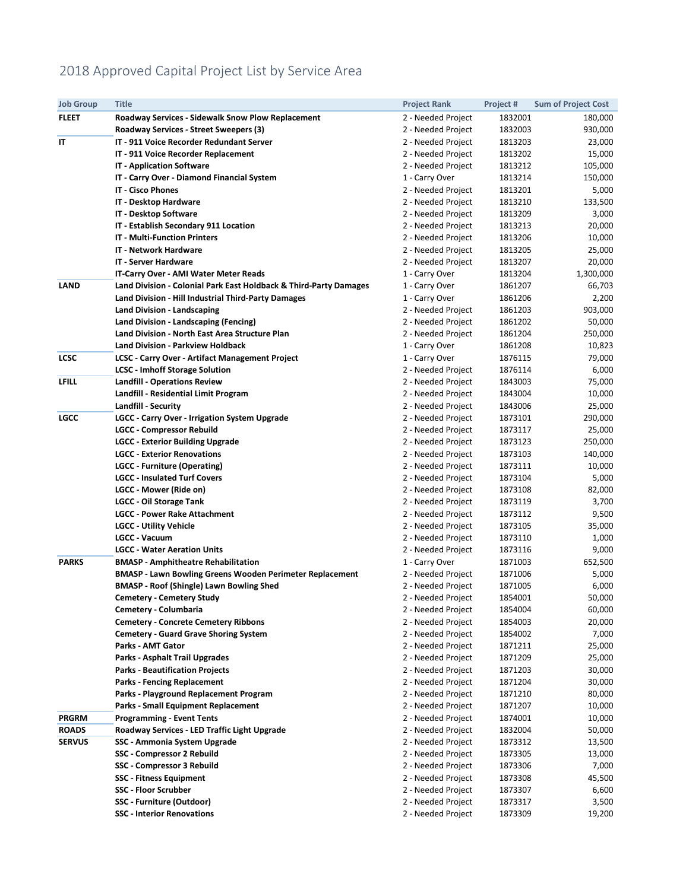### 2018 Approved Capital Project List by Service Area

| <b>Job Group</b> | <b>Title</b>                                                      | <b>Project Rank</b> | Project # | <b>Sum of Project Cost</b> |
|------------------|-------------------------------------------------------------------|---------------------|-----------|----------------------------|
| <b>FLEET</b>     | <b>Roadway Services - Sidewalk Snow Plow Replacement</b>          | 2 - Needed Project  | 1832001   | 180,000                    |
|                  | Roadway Services - Street Sweepers (3)                            | 2 - Needed Project  | 1832003   | 930,000                    |
| IT               | IT - 911 Voice Recorder Redundant Server                          | 2 - Needed Project  | 1813203   | 23,000                     |
|                  | IT - 911 Voice Recorder Replacement                               | 2 - Needed Project  | 1813202   | 15,000                     |
|                  | <b>IT - Application Software</b>                                  | 2 - Needed Project  | 1813212   | 105,000                    |
|                  | IT - Carry Over - Diamond Financial System                        | 1 - Carry Over      | 1813214   | 150,000                    |
|                  | <b>IT - Cisco Phones</b>                                          | 2 - Needed Project  | 1813201   | 5,000                      |
|                  | IT - Desktop Hardware                                             | 2 - Needed Project  | 1813210   | 133,500                    |
|                  | IT - Desktop Software                                             | 2 - Needed Project  | 1813209   | 3,000                      |
|                  | IT - Establish Secondary 911 Location                             | 2 - Needed Project  | 1813213   | 20,000                     |
|                  | <b>IT - Multi-Function Printers</b>                               | 2 - Needed Project  | 1813206   | 10,000                     |
|                  | <b>IT - Network Hardware</b>                                      | 2 - Needed Project  | 1813205   | 25,000                     |
|                  | <b>IT - Server Hardware</b>                                       | 2 - Needed Project  | 1813207   | 20,000                     |
|                  | IT-Carry Over - AMI Water Meter Reads                             | 1 - Carry Over      | 1813204   | 1,300,000                  |
| <b>LAND</b>      | Land Division - Colonial Park East Holdback & Third-Party Damages | 1 - Carry Over      | 1861207   | 66,703                     |
|                  | Land Division - Hill Industrial Third-Party Damages               | 1 - Carry Over      | 1861206   | 2,200                      |
|                  | <b>Land Division - Landscaping</b>                                | 2 - Needed Project  | 1861203   | 903,000                    |
|                  | Land Division - Landscaping (Fencing)                             | 2 - Needed Project  | 1861202   | 50,000                     |
|                  | Land Division - North East Area Structure Plan                    | 2 - Needed Project  | 1861204   | 250,000                    |
|                  | <b>Land Division - Parkview Holdback</b>                          | 1 - Carry Over      | 1861208   | 10,823                     |
| <b>LCSC</b>      | LCSC - Carry Over - Artifact Management Project                   | 1 - Carry Over      | 1876115   | 79,000                     |
|                  | <b>LCSC</b> - Imhoff Storage Solution                             | 2 - Needed Project  | 1876114   | 6,000                      |
| LFILL            | <b>Landfill - Operations Review</b>                               | 2 - Needed Project  | 1843003   | 75,000                     |
|                  | Landfill - Residential Limit Program                              | 2 - Needed Project  | 1843004   | 10,000                     |
|                  | Landfill - Security                                               | 2 - Needed Project  | 1843006   | 25,000                     |
| <b>LGCC</b>      | <b>LGCC - Carry Over - Irrigation System Upgrade</b>              | 2 - Needed Project  | 1873101   | 290,000                    |
|                  | <b>LGCC - Compressor Rebuild</b>                                  | 2 - Needed Project  | 1873117   | 25,000                     |
|                  | <b>LGCC - Exterior Building Upgrade</b>                           | 2 - Needed Project  | 1873123   | 250,000                    |
|                  | <b>LGCC - Exterior Renovations</b>                                | 2 - Needed Project  | 1873103   | 140,000                    |
|                  | <b>LGCC</b> - Furniture (Operating)                               | 2 - Needed Project  | 1873111   | 10,000                     |
|                  | <b>LGCC - Insulated Turf Covers</b>                               | 2 - Needed Project  | 1873104   | 5,000                      |
|                  | LGCC - Mower (Ride on)                                            | 2 - Needed Project  | 1873108   | 82,000                     |
|                  | <b>LGCC - Oil Storage Tank</b>                                    | 2 - Needed Project  | 1873119   | 3,700                      |
|                  | <b>LGCC - Power Rake Attachment</b>                               | 2 - Needed Project  | 1873112   | 9,500                      |
|                  | <b>LGCC - Utility Vehicle</b>                                     | 2 - Needed Project  | 1873105   | 35,000                     |
|                  | <b>LGCC - Vacuum</b>                                              | 2 - Needed Project  | 1873110   | 1,000                      |
|                  | <b>LGCC - Water Aeration Units</b>                                | 2 - Needed Project  | 1873116   | 9,000                      |
| <b>PARKS</b>     | <b>BMASP</b> - Amphitheatre Rehabilitation                        | 1 - Carry Over      | 1871003   | 652,500                    |
|                  | <b>BMASP - Lawn Bowling Greens Wooden Perimeter Replacement</b>   | 2 - Needed Project  | 1871006   | 5,000                      |
|                  | <b>BMASP - Roof (Shingle) Lawn Bowling Shed</b>                   | 2 - Needed Project  | 1871005   | 6,000                      |
|                  | <b>Cemetery - Cemetery Study</b>                                  | 2 - Needed Project  | 1854001   | 50,000                     |
|                  | Cemetery - Columbaria                                             | 2 - Needed Project  | 1854004   | 60,000                     |
|                  | <b>Cemetery - Concrete Cemetery Ribbons</b>                       | 2 - Needed Project  | 1854003   | 20,000                     |
|                  | <b>Cemetery - Guard Grave Shoring System</b>                      | 2 - Needed Project  | 1854002   | 7,000                      |
|                  | <b>Parks - AMT Gator</b>                                          | 2 - Needed Project  | 1871211   | 25,000                     |
|                  | Parks - Asphalt Trail Upgrades                                    | 2 - Needed Project  | 1871209   | 25,000                     |
|                  | <b>Parks - Beautification Projects</b>                            | 2 - Needed Project  | 1871203   | 30,000                     |
|                  | <b>Parks - Fencing Replacement</b>                                | 2 - Needed Project  | 1871204   | 30,000                     |
|                  | Parks - Playground Replacement Program                            | 2 - Needed Project  | 1871210   | 80,000                     |
|                  | <b>Parks - Small Equipment Replacement</b>                        | 2 - Needed Project  | 1871207   | 10,000                     |
| <b>PRGRM</b>     | <b>Programming - Event Tents</b>                                  | 2 - Needed Project  | 1874001   | 10,000                     |
| <b>ROADS</b>     | Roadway Services - LED Traffic Light Upgrade                      | 2 - Needed Project  | 1832004   | 50,000                     |
| <b>SERVUS</b>    | SSC - Ammonia System Upgrade                                      | 2 - Needed Project  | 1873312   | 13,500                     |
|                  | SSC - Compressor 2 Rebuild                                        | 2 - Needed Project  | 1873305   | 13,000                     |
|                  | SSC - Compressor 3 Rebuild                                        | 2 - Needed Project  | 1873306   | 7,000                      |
|                  | <b>SSC</b> - Fitness Equipment                                    | 2 - Needed Project  | 1873308   | 45,500                     |
|                  | <b>SSC - Floor Scrubber</b>                                       | 2 - Needed Project  | 1873307   | 6,600                      |
|                  | SSC - Furniture (Outdoor)                                         | 2 - Needed Project  | 1873317   | 3,500                      |
|                  | <b>SSC - Interior Renovations</b>                                 | 2 - Needed Project  | 1873309   | 19,200                     |